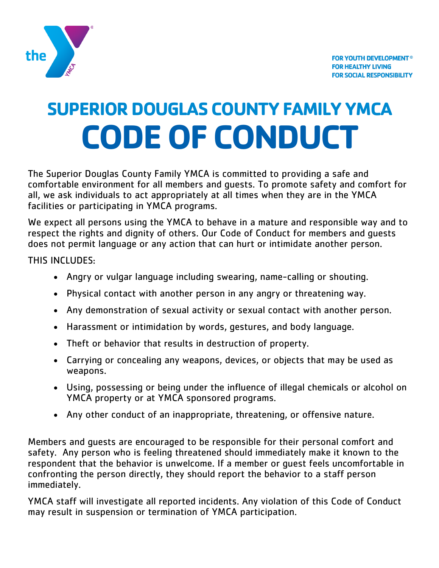

# **SUPERIOR DOUGLAS COUNTY FAMILY YMCA CODE OF CONDUCT**

The Superior Douglas County Family YMCA is committed to providing a safe and comfortable environment for all members and guests. To promote safety and comfort for all, we ask individuals to act appropriately at all times when they are in the YMCA facilities or participating in YMCA programs.

We expect all persons using the YMCA to behave in a mature and responsible way and to respect the rights and dignity of others. Our Code of Conduct for members and guests does not permit language or any action that can hurt or intimidate another person.

THIS INCLUDES:

- Angry or vulgar language including swearing, name-calling or shouting.
- Physical contact with another person in any angry or threatening way.
- Any demonstration of sexual activity or sexual contact with another person.
- Harassment or intimidation by words, gestures, and body language.
- Theft or behavior that results in destruction of property.
- Carrying or concealing any weapons, devices, or objects that may be used as weapons.
- Using, possessing or being under the influence of illegal chemicals or alcohol on YMCA property or at YMCA sponsored programs.
- Any other conduct of an inappropriate, threatening, or offensive nature.

Members and guests are encouraged to be responsible for their personal comfort and safety. Any person who is feeling threatened should immediately make it known to the respondent that the behavior is unwelcome. If a member or guest feels uncomfortable in confronting the person directly, they should report the behavior to a staff person immediately.

YMCA staff will investigate all reported incidents. Any violation of this Code of Conduct may result in suspension or termination of YMCA participation.